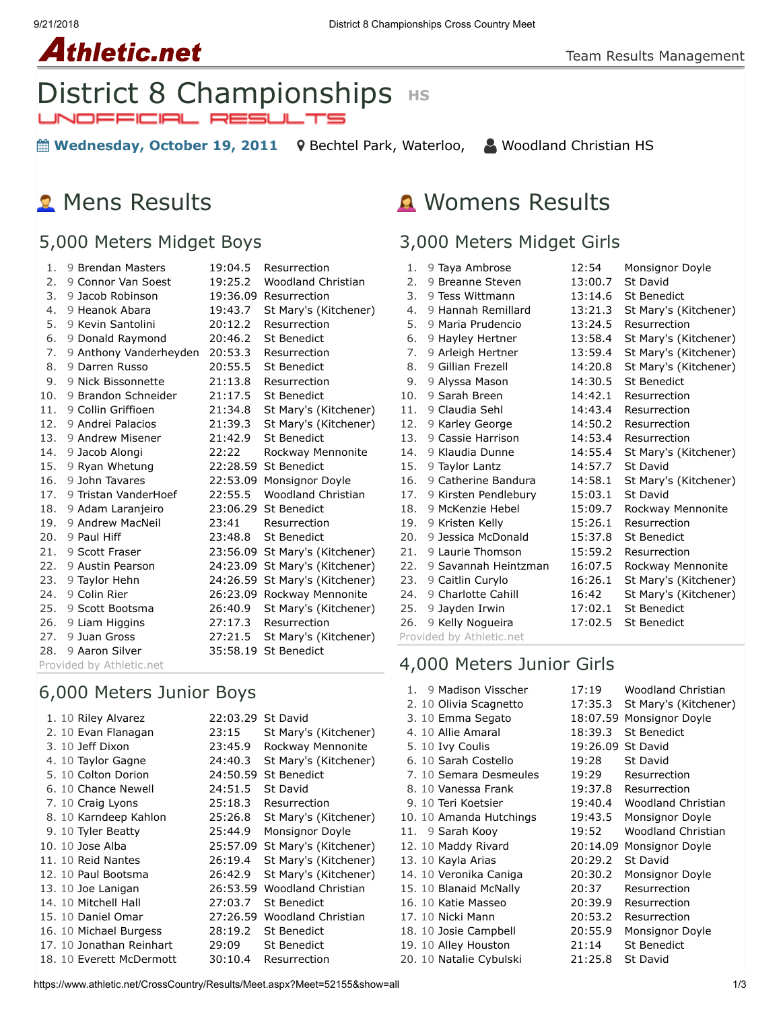#### 9/21/2018 District 8 Championships Cross Country Meet

## **Athletic.net**

# District 8 Championships **HS**<br>UNDEFICIPL RESULTS

**tem Wednesday, October 19, 2011** 9 [Bechtel Park, Waterloo,](https://maps.google.com/maps?saddr=&daddr=Bechtel%20Park,%20185%20Bridge%20St.%20West,%20Waterloo%20N2K%201K8&hl=en) △ [Woodland Christian HS](https://www.athletic.net/CrossCountry/School.aspx?SchoolID=27436)

### **R** Mens Results

#### 5,000 Meters Midget Boys

| 1.  | 9 Brendan Masters      | 19:04.5  | Resurrection              |
|-----|------------------------|----------|---------------------------|
| 2.  | 9 Connor Van Soest     | 19:25.2  | Woodland Christian        |
| 3.  | 9 Jacob Robinson       | 19:36.09 | Resurrection              |
| 4.  | 9 Heanok Abara         | 19:43.7  | St Mary's (Kitchener)     |
| 5.  | 9 Kevin Santolini      | 20:12.2  | Resurrection              |
| 6.  | 9 Donald Raymond       | 20:46.2  | St Benedict               |
| 7.  | 9 Anthony Vanderheyden | 20:53.3  | Resurrection              |
| 8.  | 9 Darren Russo         | 20:55.5  | <b>St Benedict</b>        |
| 9.  | 9 Nick Bissonnette     | 21:13.8  | Resurrection              |
| 10. | 9 Brandon Schneider    | 21:17.5  | <b>St Benedict</b>        |
| 11. | 9 Collin Griffioen     | 21:34.8  | St Mary's (Kitchener)     |
| 12. | 9 Andrei Palacios      | 21:39.3  | St Mary's (Kitchener)     |
| 13. | 9 Andrew Misener       | 21:42.9  | <b>St Benedict</b>        |
| 14. | 9 Jacob Alongi         | 22:22    | Rockway Mennonite         |
| 15. | 9 Ryan Whetung         | 22:28.59 | St Benedict               |
| 16. | 9 John Tavares         | 22:53.09 | Monsignor Doyle           |
| 17. | 9 Tristan VanderHoef   | 22:55.5  | <b>Woodland Christian</b> |
| 18. | 9 Adam Laranjeiro      |          | 23:06.29 St Benedict      |
| 19. | 9 Andrew MacNeil       | 23:41    | Resurrection              |
| 20. | 9 Paul Hiff            | 23:48.8  | <b>St Benedict</b>        |
| 21. | 9 Scott Fraser         | 23:56.09 | St Mary's (Kitchener)     |
| 22. | 9 Austin Pearson       | 24:23.09 | St Mary's (Kitchener)     |
| 23. | 9 Taylor Hehn          | 24:26.59 | St Mary's (Kitchener)     |
| 24. | 9 Colin Rier           | 26:23.09 | Rockway Mennonite         |
| 25. | 9 Scott Bootsma        | 26:40.9  | St Mary's (Kitchener)     |
| 26. | 9 Liam Higgins         | 27:17.3  | Resurrection              |
| 27. | 9 Juan Gross           | 27:21.5  | St Mary's (Kitchener)     |
| 28. | 9 Aaron Silver         |          | 35:58.19 St Benedict      |
|     | .                      |          |                           |

Provided by Athletic.net

#### 6,000 Meters Junior Boys

|  | 1. 10 Riley Alvarez      | 22:03.29 | St David              |
|--|--------------------------|----------|-----------------------|
|  | 2. 10 Evan Flanagan      | 23:15    | St Mary's (Kitchener) |
|  | 3. 10 Jeff Dixon         | 23:45.9  | Rockway Mennonite     |
|  | 4. 10 Taylor Gagne       | 24:40.3  | St Mary's (Kitchener) |
|  | 5. 10 Colton Dorion      |          | 24:50.59 St Benedict  |
|  | 6. 10 Chance Newell      | 24:51.5  | St David              |
|  | 7. 10 Craig Lyons        | 25:18.3  | Resurrection          |
|  | 8. 10 Karndeep Kahlon    | 25:26.8  | St Mary's (Kitchener) |
|  | 9. 10 Tyler Beatty       | 25:44.9  | Monsignor Doyle       |
|  | 10. 10 Jose Alba         | 25:57.09 | St Mary's (Kitchener) |
|  | 11. 10 Reid Nantes       | 26:19.4  | St Mary's (Kitchener) |
|  | 12. 10 Paul Bootsma      | 26:42.9  | St Mary's (Kitchener) |
|  | 13. 10 Joe Lanigan       | 26:53.59 | Woodland Christian    |
|  | 14. 10 Mitchell Hall     | 27:03.7  | <b>St Benedict</b>    |
|  | 15. 10 Daniel Omar       | 27:26.59 | Woodland Christian    |
|  | 16. 10 Michael Burgess   | 28:19.2  | <b>St Benedict</b>    |
|  | 17. 10 Jonathan Reinhart | 29:09    | <b>St Benedict</b>    |
|  | 18. 10 Everett McDermott | 30:10.4  | Resurrection          |

#### Womens Results

#### 3,000 Meters Midget Girls

| 1.                       | 9 Taya Ambrose       | 12:54   | Monsignor Doyle       |
|--------------------------|----------------------|---------|-----------------------|
| 2.                       | 9 Breanne Steven     | 13:00.7 | St David              |
| 3.                       | 9 Tess Wittmann      | 13:14.6 | <b>St Benedict</b>    |
| 4.                       | 9 Hannah Remillard   | 13:21.3 | St Mary's (Kitchener) |
| 5.                       | 9 Maria Prudencio    | 13:24.5 | Resurrection          |
| 6.                       | 9 Hayley Hertner     | 13:58.4 | St Mary's (Kitchener) |
| 7.                       | 9 Arleigh Hertner    | 13:59.4 | St Mary's (Kitchener) |
| 8.                       | 9 Gillian Frezell    | 14:20.8 | St Mary's (Kitchener) |
| 9.                       | 9 Alyssa Mason       | 14:30.5 | <b>St Benedict</b>    |
| 10.                      | 9 Sarah Breen        | 14:42.1 | Resurrection          |
| 11.                      | 9 Claudia Sehl       | 14:43.4 | Resurrection          |
| 12.                      | 9 Karley George      | 14:50.2 | Resurrection          |
| 13.                      | 9 Cassie Harrison    | 14:53.4 | Resurrection          |
| 14.                      | 9 Klaudia Dunne      | 14:55.4 | St Mary's (Kitchener) |
| 15.                      | 9 Taylor Lantz       | 14:57.7 | St David              |
| 16.                      | 9 Catherine Bandura  | 14:58.1 | St Mary's (Kitchener) |
| 17.                      | 9 Kirsten Pendlebury | 15:03.1 | <b>St David</b>       |
| 18.                      | 9 McKenzie Hebel     | 15:09.7 | Rockway Mennonite     |
| 19.                      | 9 Kristen Kelly      | 15:26.1 | Resurrection          |
| 20.                      | 9 Jessica McDonald   | 15:37.8 | <b>St Benedict</b>    |
| 21.                      | 9 Laurie Thomson     | 15:59.2 | Resurrection          |
| 22.                      | 9 Savannah Heintzman | 16:07.5 | Rockway Mennonite     |
| 23.                      | 9 Caitlin Curylo     | 16:26.1 | St Mary's (Kitchener) |
| 24.                      | 9 Charlotte Cahill   | 16:42   | St Mary's (Kitchener) |
| 25.                      | 9 Jayden Irwin       | 17:02.1 | <b>St Benedict</b>    |
| 26.                      | 9 Kelly Nogueira     | 17:02.5 | <b>St Benedict</b>    |
| Provided by Athletic.net |                      |         |                       |

4,000 Meters Junior Girls

| 1. | 9 Madison Visscher      | 17:19    | Woodland Christian    |
|----|-------------------------|----------|-----------------------|
|    | 2. 10 Olivia Scagnetto  | 17:35.3  | St Mary's (Kitchener) |
|    | 3. 10 Emma Segato       | 18:07.59 | Monsignor Doyle       |
|    | 4. 10 Allie Amaral      | 18:39.3  | <b>St Benedict</b>    |
|    | 5. 10 Ivy Coulis        | 19:26.09 | St David              |
|    | 6. 10 Sarah Costello    | 19:28    | St David              |
|    | 7. 10 Semara Desmeules  | 19:29    | Resurrection          |
|    | 8. 10 Vanessa Frank     | 19:37.8  | Resurrection          |
|    | 9. 10 Teri Koetsier     | 19:40.4  | Woodland Christian    |
|    | 10. 10 Amanda Hutchings | 19:43.5  | Monsignor Doyle       |
|    | 11. 9 Sarah Kooy        | 19:52    | Woodland Christian    |
|    | 12. 10 Maddy Rivard     | 20:14.09 | Monsignor Doyle       |
|    | 13. 10 Kayla Arias      | 20:29.2  | St David              |
|    | 14. 10 Veronika Caniga  | 20:30.2  | Monsignor Doyle       |
|    | 15. 10 Blanaid McNally  | 20:37    | Resurrection          |
|    | 16. 10 Katie Masseo     | 20:39.9  | Resurrection          |
|    | 17. 10 Nicki Mann       | 20:53.2  | Resurrection          |
|    | 18. 10 Josie Campbell   | 20:55.9  | Monsignor Doyle       |
|    | 19. 10 Alley Houston    | 21:14    | <b>St Benedict</b>    |
|    | 20. 10 Natalie Cybulski | 21:25.8  | St David              |

https://www.athletic.net/CrossCountry/Results/Meet.aspx?Meet=52155&show=all 1/3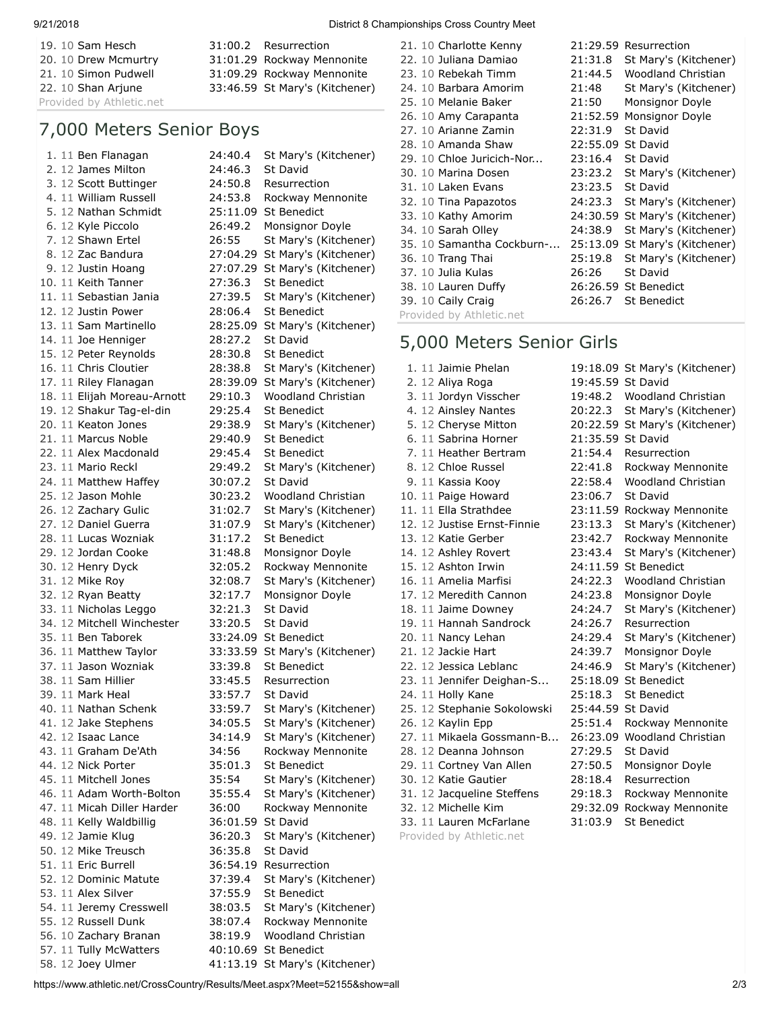19. 10 [Sam Hesch](https://www.athletic.net/CrossCountry/Athlete.aspx?AID=2603433#tTNaN) [31:00.2](https://www.athletic.net/result/2qFBPaiaAO5) [Resurrection](https://www.athletic.net/CrossCountry/School.aspx?SchoolID=27483) 20. 10 [Drew Mcmurtry](https://www.athletic.net/CrossCountry/Athlete.aspx?AID=3383484#tTNaN) [31:01.29](https://www.athletic.net/result/4qFEe3U0pYR) [Rockway Mennonite](https://www.athletic.net/CrossCountry/School.aspx?SchoolID=27431) 21. 10 [Simon Pudwell](https://www.athletic.net/CrossCountry/Athlete.aspx?AID=3688890#tTNaN) [31:09.29](https://www.athletic.net/result/l5FexEUjADD) [Rockway Mennonite](https://www.athletic.net/CrossCountry/School.aspx?SchoolID=27431)

Provided by Athletic.net

#### 7,000 Meters Senior Boys

2. 12 [James Milton](https://www.athletic.net/CrossCountry/Athlete.aspx?AID=1188584#tTNaN) [24:46.3](https://www.athletic.net/result/NwFXxBiMvv1) [St David](https://www.athletic.net/CrossCountry/School.aspx?SchoolID=27464) 3. 12 [Scott Buttinger](https://www.athletic.net/CrossCountry/Athlete.aspx?AID=1188707#tTNaN) [24:50.8](https://www.athletic.net/result/rOF1WDUgJOm) [Resurrection](https://www.athletic.net/CrossCountry/School.aspx?SchoolID=27483) 5. 12 [Nathan Schmidt](https://www.athletic.net/CrossCountry/Athlete.aspx?AID=2602556#tTNaN) [25:11.09](https://www.athletic.net/result/mXFe81URYA0) [St Benedict](https://www.athletic.net/CrossCountry/School.aspx?SchoolID=27484) 10. 11 [Keith Tanner](https://www.athletic.net/CrossCountry/Athlete.aspx?AID=1553377#tTNaN) [27:36.3](https://www.athletic.net/result/LnF3WRtXAKW) [St Benedict](https://www.athletic.net/CrossCountry/School.aspx?SchoolID=27484) 12. 12 [Justin Power](https://www.athletic.net/CrossCountry/Athlete.aspx?AID=1553376#tTNaN) [28:06.4](https://www.athletic.net/result/jKFe03UW3Ar) [St Benedict](https://www.athletic.net/CrossCountry/School.aspx?SchoolID=27484) 14. 11 [Joe Henniger](https://www.athletic.net/CrossCountry/Athlete.aspx?AID=3702941#tTNaN) [28:27.2](https://www.athletic.net/result/OyFXPnikl5x) [St David](https://www.athletic.net/CrossCountry/School.aspx?SchoolID=27464) 15. 12 [Peter Reynolds](https://www.athletic.net/CrossCountry/Athlete.aspx?AID=1553383#tTNaN) [28:30.8](https://www.athletic.net/result/DzFK6qUyEDz) [St Benedict](https://www.athletic.net/CrossCountry/School.aspx?SchoolID=27484) 19. 12 [Shakur Tag-el-din](https://www.athletic.net/CrossCountry/Athlete.aspx?AID=2602559#tTNaN) [29:25.4](https://www.athletic.net/result/ZlFVXNsQPDX) [St Benedict](https://www.athletic.net/CrossCountry/School.aspx?SchoolID=27484) 21. 11 [Marcus Noble](https://www.athletic.net/CrossCountry/Athlete.aspx?AID=1553382#tTNaN) [29:40.9](https://www.athletic.net/result/n4FepJUAZzo) [St Benedict](https://www.athletic.net/CrossCountry/School.aspx?SchoolID=27484) 22. 11 [Alex Macdonald](https://www.athletic.net/CrossCountry/Athlete.aspx?AID=2495367#tTNaN) [29:45.4](https://www.athletic.net/result/xoFe3yUPLdj) [St Benedict](https://www.athletic.net/CrossCountry/School.aspx?SchoolID=27484) 24. 11 [Matthew Haffey](https://www.athletic.net/CrossCountry/Athlete.aspx?AID=3702937#tTNaN) [30:07.2](https://www.athletic.net/result/XwFL5auJnDD) [St David](https://www.athletic.net/CrossCountry/School.aspx?SchoolID=27464) 28. 11 [Lucas Wozniak](https://www.athletic.net/CrossCountry/Athlete.aspx?AID=1553381#tTNaN) [31:17.2](https://www.athletic.net/result/BvFqvwigZVQ) [St Benedict](https://www.athletic.net/CrossCountry/School.aspx?SchoolID=27484) 29. 12 [Jordan Cooke](https://www.athletic.net/CrossCountry/Athlete.aspx?AID=1552901#tTNaN) [31:48.8](https://www.athletic.net/result/6kF2yxULYky) [Monsignor Doyle](https://www.athletic.net/CrossCountry/School.aspx?SchoolID=27459) 32. 12 [Ryan Beatty](https://www.athletic.net/CrossCountry/Athlete.aspx?AID=1552910#tTNaN) [32:17.7](https://www.athletic.net/result/jKFe03UW3nW) [Monsignor Doyle](https://www.athletic.net/CrossCountry/School.aspx?SchoolID=27459) 33. 11 [Nicholas Leggo](https://www.athletic.net/CrossCountry/Athlete.aspx?AID=2632083#tTNaN) [32:21.3](https://www.athletic.net/result/XwFL5aumN6W) [St David](https://www.athletic.net/CrossCountry/School.aspx?SchoolID=27464) 34. 12 [Mitchell Winchester](https://www.athletic.net/CrossCountry/Athlete.aspx?AID=2653976#tTNaN) [33:20.5](https://www.athletic.net/result/e2FxPkSEpB2) [St David](https://www.athletic.net/CrossCountry/School.aspx?SchoolID=27464) 35. 11 [Ben Taborek](https://www.athletic.net/CrossCountry/Athlete.aspx?AID=1553362#tTNaN) [33:24.09](https://www.athletic.net/result/yoFeJZUB5De) [St Benedict](https://www.athletic.net/CrossCountry/School.aspx?SchoolID=27484) 37. 11 [Jason Wozniak](https://www.athletic.net/CrossCountry/Athlete.aspx?AID=1553372#tTNaN) [33:39.8](https://www.athletic.net/result/vwFNYXiw2gN) [St Benedict](https://www.athletic.net/CrossCountry/School.aspx?SchoolID=27484) 38. 11 [Sam Hillier](https://www.athletic.net/CrossCountry/Athlete.aspx?AID=2621806#tTNaN) [33:45.5](https://www.athletic.net/result/oxFeBLUPeOY) [Resurrection](https://www.athletic.net/CrossCountry/School.aspx?SchoolID=27483) 39. 11 [Mark Heal](https://www.athletic.net/CrossCountry/Athlete.aspx?AID=3702939#tTNaN) [33:57.7](https://www.athletic.net/result/z3Fe5PUqr21) [St David](https://www.athletic.net/CrossCountry/School.aspx?SchoolID=27464) 44. 12 [Nick Porter](https://www.athletic.net/CrossCountry/Athlete.aspx?AID=2602554#tTNaN) [35:01.3](https://www.athletic.net/result/n4FepJUJ38N) [St Benedict](https://www.athletic.net/CrossCountry/School.aspx?SchoolID=27484) 48. 11 [Kelly Waldbillig](https://www.athletic.net/CrossCountry/Athlete.aspx?AID=1553009#tTNaN) [36:01.59](https://www.athletic.net/result/05F5gMIpneo) [St David](https://www.athletic.net/CrossCountry/School.aspx?SchoolID=27464) 50. 12 [Mike Treusch](https://www.athletic.net/CrossCountry/Athlete.aspx?AID=3702972#tTNaN) [36:35.8](https://www.athletic.net/result/MDFpwNhnl0l) [St David](https://www.athletic.net/CrossCountry/School.aspx?SchoolID=27464) 51. 11 [Eric Burrell](https://www.athletic.net/CrossCountry/Athlete.aspx?AID=2547978#tTNaN) [36:54.19](https://www.athletic.net/result/jKFe03U2LkP) [Resurrection](https://www.athletic.net/CrossCountry/School.aspx?SchoolID=27483) 53. 11 [Alex Silver](https://www.athletic.net/CrossCountry/Athlete.aspx?AID=1553359#tTNaN) [37:55.9](https://www.athletic.net/result/1QFmW1i4dVx) [St Benedict](https://www.athletic.net/CrossCountry/School.aspx?SchoolID=27484) 57. 11 [Tully McWatters](https://www.athletic.net/CrossCountry/Athlete.aspx?AID=1553388#tTNaN) [40:10.69](https://www.athletic.net/result/aPFkQAiXWEN) [St Benedict](https://www.athletic.net/CrossCountry/School.aspx?SchoolID=27484) 58. 12 [Joey Ulmer](https://www.athletic.net/CrossCountry/Athlete.aspx?AID=3680627#tTNaN) [41:13.19](https://www.athletic.net/result/05F5gMIKgmW) [St Mary's \(Kitchener\)](https://www.athletic.net/CrossCountry/School.aspx?SchoolID=27485)

22. 10 [Shan Arjune](https://www.athletic.net/CrossCountry/Athlete.aspx?AID=3680638#tTNaN) [33:46.59](https://www.athletic.net/result/mXFe81UoVqp) [St Mary's \(Kitchener\)](https://www.athletic.net/CrossCountry/School.aspx?SchoolID=27485) 1. 11 [Ben Flanagan](https://www.athletic.net/CrossCountry/Athlete.aspx?AID=1553397#tTNaN) [24:40.4](https://www.athletic.net/result/xoFe3yUKO61) [St Mary's \(Kitchener\)](https://www.athletic.net/CrossCountry/School.aspx?SchoolID=27485) 4. 11 [William Russell](https://www.athletic.net/CrossCountry/Athlete.aspx?AID=2619898#tTNaN) [24:53.8](https://www.athletic.net/result/kVFeVKUg56a) [Rockway Mennonite](https://www.athletic.net/CrossCountry/School.aspx?SchoolID=27431) 6. 12 [Kyle Piccolo](https://www.athletic.net/CrossCountry/Athlete.aspx?AID=1552905#tTNaN) [26:49.2](https://www.athletic.net/result/rOF1WDUjdBg) [Monsignor Doyle](https://www.athletic.net/CrossCountry/School.aspx?SchoolID=27459) 7. 12 [Shawn Ertel](https://www.athletic.net/CrossCountry/Athlete.aspx?AID=1553429#tTNaN) [26:55](https://www.athletic.net/result/J3F84esXd8N) [St Mary's \(Kitchener\)](https://www.athletic.net/CrossCountry/School.aspx?SchoolID=27485) 8. 12 [Zac Bandura](https://www.athletic.net/CrossCountry/Athlete.aspx?AID=1553435#tTNaN) [27:04.29](https://www.athletic.net/result/z3Fe5PU8YMa) [St Mary's \(Kitchener\)](https://www.athletic.net/CrossCountry/School.aspx?SchoolID=27485) 9. 12 [Justin Hoang](https://www.athletic.net/CrossCountry/Athlete.aspx?AID=1553413#tTNaN) [27:07.29](https://www.athletic.net/result/PlFX6EiJgkd) [St Mary's \(Kitchener\)](https://www.athletic.net/CrossCountry/School.aspx?SchoolID=27485) 11. 11 [Sebastian Jania](https://www.athletic.net/CrossCountry/Athlete.aspx?AID=2599737#tTNaN) [27:39.5](https://www.athletic.net/result/LnF3WRtvO2l) [St Mary's \(Kitchener\)](https://www.athletic.net/CrossCountry/School.aspx?SchoolID=27485) 13. 11 [Sam Martinello](https://www.athletic.net/CrossCountry/Athlete.aspx?AID=2382183#tTNaN) [28:25.09](https://www.athletic.net/result/XwFL5auVKnA) [St Mary's \(Kitchener\)](https://www.athletic.net/CrossCountry/School.aspx?SchoolID=27485) 16. 11 [Chris Cloutier](https://www.athletic.net/CrossCountry/Athlete.aspx?AID=3688351#tTNaN) [28:38.8](https://www.athletic.net/result/XwFL5auJMjZ) [St Mary's \(Kitchener\)](https://www.athletic.net/CrossCountry/School.aspx?SchoolID=27485) 17. 11 [Riley Flanagan](https://www.athletic.net/CrossCountry/Athlete.aspx?AID=1553427#tTNaN) [28:39.09](https://www.athletic.net/result/DzFK6qUyEVz) [St Mary's \(Kitchener\)](https://www.athletic.net/CrossCountry/School.aspx?SchoolID=27485) 18. 11 [Elijah Moreau-Arnott](https://www.athletic.net/CrossCountry/Athlete.aspx?AID=2601208#tTNaN) [29:10.3](https://www.athletic.net/result/yoFeJZUeVml) [Woodland Christian](https://www.athletic.net/CrossCountry/School.aspx?SchoolID=27436) 20. 11 [Keaton Jones](https://www.athletic.net/CrossCountry/Athlete.aspx?AID=3688352#tTNaN) [29:38.9](https://www.athletic.net/result/KAFWaxIdqj8) [St Mary's \(Kitchener\)](https://www.athletic.net/CrossCountry/School.aspx?SchoolID=27485) 23. 11 [Mario Reckl](https://www.athletic.net/CrossCountry/Athlete.aspx?AID=2382179#tTNaN) [29:49.2](https://www.athletic.net/result/J3F84esOYEl) [St Mary's \(Kitchener\)](https://www.athletic.net/CrossCountry/School.aspx?SchoolID=27485) 25. 12 [Jason Mohle](https://www.athletic.net/CrossCountry/Athlete.aspx?AID=1524436#tTNaN) [30:23.2](https://www.athletic.net/result/YyFgPot0rVE) [Woodland Christian](https://www.athletic.net/CrossCountry/School.aspx?SchoolID=27436) 26. 12 [Zachary Gulic](https://www.athletic.net/CrossCountry/Athlete.aspx?AID=3680640#tTNaN) [31:02.7](https://www.athletic.net/result/kVFeVKUqAaK) [St Mary's \(Kitchener\)](https://www.athletic.net/CrossCountry/School.aspx?SchoolID=27485) 27. 12 [Daniel Guerra](https://www.athletic.net/CrossCountry/Athlete.aspx?AID=2602340#tTNaN) [31:07.9](https://www.athletic.net/result/vwFNYXiJ043) [St Mary's \(Kitchener\)](https://www.athletic.net/CrossCountry/School.aspx?SchoolID=27485) 30. 12 [Henry Dyck](https://www.athletic.net/CrossCountry/Athlete.aspx?AID=1552679#tTNaN) [32:05.2](https://www.athletic.net/result/OyFXPniV2op) [Rockway Mennonite](https://www.athletic.net/CrossCountry/School.aspx?SchoolID=27431) 31. 12 [Mike Roy](https://www.athletic.net/CrossCountry/Athlete.aspx?AID=2599732#tTNaN) [32:08.7](https://www.athletic.net/result/vwFNYXiJ5pp) [St Mary's \(Kitchener\)](https://www.athletic.net/CrossCountry/School.aspx?SchoolID=27485) 36. 11 [Matthew Taylor](https://www.athletic.net/CrossCountry/Athlete.aspx?AID=3383961#tTNaN) [33:33.59](https://www.athletic.net/result/6kF2yxUp3dy) [St Mary's \(Kitchener\)](https://www.athletic.net/CrossCountry/School.aspx?SchoolID=27485) 40. 11 [Nathan Schenk](https://www.athletic.net/CrossCountry/Athlete.aspx?AID=2599733#tTNaN) [33:59.7](https://www.athletic.net/result/05F5gMIEljB) [St Mary's \(Kitchener\)](https://www.athletic.net/CrossCountry/School.aspx?SchoolID=27485) 41. 12 [Jake Stephens](https://www.athletic.net/CrossCountry/Athlete.aspx?AID=2599723#tTNaN) [34:05.5](https://www.athletic.net/result/81FjxgSWLzM) [St Mary's \(Kitchener\)](https://www.athletic.net/CrossCountry/School.aspx?SchoolID=27485) 42. 12 [Isaac Lance](https://www.athletic.net/CrossCountry/Athlete.aspx?AID=1553409#tTNaN) [34:14.9](https://www.athletic.net/result/3DFlqRTn0PQ) [St Mary's \(Kitchener\)](https://www.athletic.net/CrossCountry/School.aspx?SchoolID=27485) 43. 11 [Graham De'Ath](https://www.athletic.net/CrossCountry/Athlete.aspx?AID=3688894#tTNaN) [34:56](https://www.athletic.net/result/goFx5YSlJY3) [Rockway Mennonite](https://www.athletic.net/CrossCountry/School.aspx?SchoolID=27431) 45. 11 [Mitchell Jones](https://www.athletic.net/CrossCountry/Athlete.aspx?AID=1553423#tTNaN) [35:54](https://www.athletic.net/result/VxFEeaU8ERM) [St Mary's \(Kitchener\)](https://www.athletic.net/CrossCountry/School.aspx?SchoolID=27485) 46. 11 [Adam Worth-Bolton](https://www.athletic.net/CrossCountry/Athlete.aspx?AID=1553389#tTNaN) [35:55.4](https://www.athletic.net/result/XwFL5aurP3M) [St Mary's \(Kitchener\)](https://www.athletic.net/CrossCountry/School.aspx?SchoolID=27485) 47. 11 [Micah Diller Harder](https://www.athletic.net/CrossCountry/Athlete.aspx?AID=1552681#tTNaN) [36:00](https://www.athletic.net/result/d2FQOZIlBED) [Rockway Mennonite](https://www.athletic.net/CrossCountry/School.aspx?SchoolID=27431) 49. 12 [Jamie Klug](https://www.athletic.net/CrossCountry/Athlete.aspx?AID=3680625#tTNaN) [36:20.3](https://www.athletic.net/result/rOF1WDU8QYK) [St Mary's \(Kitchener\)](https://www.athletic.net/CrossCountry/School.aspx?SchoolID=27485) 52. 12 [Dominic Matute](https://www.athletic.net/CrossCountry/Athlete.aspx?AID=3680620#tTNaN) [37:39.4](https://www.athletic.net/result/pwFNx3iMY8D) [St Mary's \(Kitchener\)](https://www.athletic.net/CrossCountry/School.aspx?SchoolID=27485) 54. 11 [Jeremy Cresswell](https://www.athletic.net/CrossCountry/Athlete.aspx?AID=3680626#tTNaN) [38:03.5](https://www.athletic.net/result/vwFNYXiP8Oe) [St Mary's \(Kitchener\)](https://www.athletic.net/CrossCountry/School.aspx?SchoolID=27485) 55. 12 [Russell Dunk](https://www.athletic.net/CrossCountry/Athlete.aspx?AID=3688892#tTNaN) [38:07.4](https://www.athletic.net/result/jKFe03U1BWQ) [Rockway Mennonite](https://www.athletic.net/CrossCountry/School.aspx?SchoolID=27431) 56. 10 [Zachary Branan](https://www.athletic.net/CrossCountry/Athlete.aspx?AID=3383495#tTNaN) [38:19.9](https://www.athletic.net/result/6kF2yxUp3ZQ) [Woodland Christian](https://www.athletic.net/CrossCountry/School.aspx?SchoolID=27436)

| 21. 10 Charlotte Kenny    | 21:29.59          | Resurrection              |  |  |
|---------------------------|-------------------|---------------------------|--|--|
| 22. 10 Juliana Damiao     | 21:31.8           | St Mary's (Kitchener)     |  |  |
| 23. 10 Rebekah Timm       | 21:44.5           | <b>Woodland Christian</b> |  |  |
| 24. 10 Barbara Amorim     | 21:48             | St Mary's (Kitchener)     |  |  |
| 25. 10 Melanie Baker      | 21:50             | Monsignor Doyle           |  |  |
| 26. 10 Amy Carapanta      | 21:52.59          | Monsignor Doyle           |  |  |
| 27. 10 Arianne Zamin      | 22:31.9           | St David                  |  |  |
| 28. 10 Amanda Shaw        | 22:55.09 St David |                           |  |  |
| 29. 10 Chloe Juricich-Nor | 23:16.4           | St David                  |  |  |
| 30, 10 Marina Dosen       | 23:23.2           | St Mary's (Kitchener)     |  |  |
| 31. 10 Laken Evans        | 23:23.5           | St David                  |  |  |
| 32. 10 Tina Papazotos     | 24:23.3           | St Mary's (Kitchener)     |  |  |
| 33. 10 Kathy Amorim       | 24:30.59          | St Mary's (Kitchener)     |  |  |
| 34. 10 Sarah Olley        | 24:38.9           | St Mary's (Kitchener)     |  |  |
| 35. 10 Samantha Cockburn- | 25:13.09          | St Mary's (Kitchener)     |  |  |
| 36. 10 Trang Thai         | 25:19.8           | St Mary's (Kitchener)     |  |  |
| 37. 10 Julia Kulas        | 26:26             | St David                  |  |  |
| 38. 10 Lauren Duffy       |                   | 26:26.59 St Benedict      |  |  |
| 39. 10 Caily Craig        | 26:26.7           | <b>St Benedict</b>        |  |  |
| Provided by Athletic.net  |                   |                           |  |  |

#### 5,000 Meters Senior Girls

|  | 1. 11 Jaimie Phelan         |                   | 19:18.09 St Mary's (Kitchener) |
|--|-----------------------------|-------------------|--------------------------------|
|  | 2. 12 Aliya Roga            | 19:45.59 St David |                                |
|  | 3. 11 Jordyn Visscher       | 19:48.2           | Woodland Christian             |
|  | 4. 12 Ainsley Nantes        | 20:22.3           | St Mary's (Kitchener)          |
|  | 5. 12 Cheryse Mitton        | 20:22.59          | St Mary's (Kitchener)          |
|  | 6. 11 Sabrina Horner        | 21:35.59          | St David                       |
|  | 7. 11 Heather Bertram       | 21:54.4           | Resurrection                   |
|  | 8. 12 Chloe Russel          | 22:41.8           | Rockway Mennonite              |
|  | 9. 11 Kassia Kooy           | 22:58.4           | <b>Woodland Christian</b>      |
|  | 10. 11 Paige Howard         | 23:06.7           | St David                       |
|  | 11. 11 Ella Strathdee       |                   | 23:11.59 Rockway Mennonite     |
|  | 12. 12 Justise Ernst-Finnie | 23:13.3           | St Mary's (Kitchener)          |
|  | 13. 12 Katie Gerber         | 23:42.7           | Rockway Mennonite              |
|  | 14. 12 Ashley Rovert        | 23:43.4           | St Mary's (Kitchener)          |
|  | 15. 12 Ashton Irwin         | 24:11.59          | <b>St Benedict</b>             |
|  | 16. 11 Amelia Marfisi       | 24:22.3           | <b>Woodland Christian</b>      |
|  | 17. 12 Meredith Cannon      | 24:23.8           | Monsignor Doyle                |
|  | 18. 11 Jaime Downey         | 24:24.7           | St Mary's (Kitchener)          |
|  | 19. 11 Hannah Sandrock      | 24:26.7           | Resurrection                   |
|  | 20. 11 Nancy Lehan          | 24:29.4           | St Mary's (Kitchener)          |
|  | 21. 12 Jackie Hart          | 24:39.7           | Monsignor Doyle                |
|  | 22. 12 Jessica Leblanc      | 24:46.9           | St Mary's (Kitchener)          |
|  | 23. 11 Jennifer Deighan-S   | 25:18.09          | St Benedict                    |
|  | 24. 11 Holly Kane           | 25:18.3           | <b>St Benedict</b>             |
|  | 25. 12 Stephanie Sokolowski | 25:44.59          | St David                       |
|  | 26. 12 Kaylin Epp           | 25:51.4           | Rockway Mennonite              |
|  | 27. 11 Mikaela Gossmann-B   | 26:23.09          | <b>Woodland Christian</b>      |
|  | 28. 12 Deanna Johnson       | 27:29.5           | St David                       |
|  | 29. 11 Cortney Van Allen    | 27:50.5           | Monsignor Doyle                |
|  | 30. 12 Katie Gautier        | 28:18.4           | Resurrection                   |
|  | 31. 12 Jacqueline Steffens  | 29:18.3           | Rockway Mennonite              |
|  | 32. 12 Michelle Kim         | 29:32.09          | Rockway Mennonite              |
|  | 33. 11 Lauren McFarlane     | 31:03.9           | <b>St Benedict</b>             |

Provided by Athletic.net